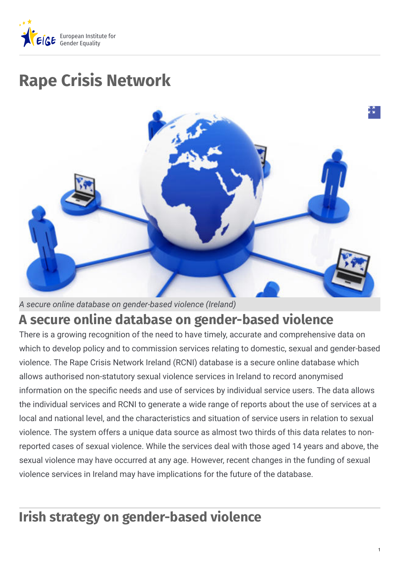

# **Rape Crisis Network**



*A secure online database on gender-based violence (Ireland)*

## **A secure online database on gender-based violence**

There is a growing recognition of the need to have timely, accurate and comprehensive data on which to develop policy and to commission services relating to domestic, sexual and gender-based violence. The Rape Crisis Network Ireland (RCNI) database is a secure online database which allows authorised non-statutory sexual violence services in Ireland to record anonymised information on the specific needs and use of services by individual service users. The data allows the individual services and RCNI to generate a wide range of reports about the use of services at a local and national level, and the characteristics and situation of service users in relation to sexual violence. The system offers a unique data source as almost two thirds of this data relates to nonreported cases of sexual violence. While the services deal with those aged 14 years and above, the sexual violence may have occurred at any age. However, recent changes in the funding of sexual violence services in Ireland may have implications for the future of the database.

# **Irish strategy on gender-based violence**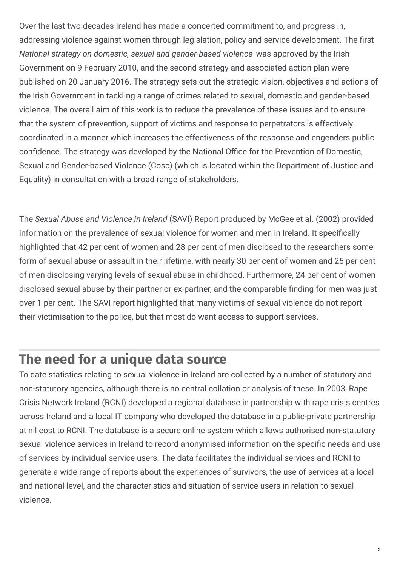Over the last two decades Ireland has made a concerted commitment to, and progress in, addressing violence against women through legislation, policy and service development. The first *National strategy on domestic, sexual and gender-based violence* was approved by the Irish Government on 9 February 2010, and the second strategy and associated action plan were published on 20 January 2016. The strategy sets out the strategic vision, objectives and actions of the Irish Government in tackling a range of crimes related to sexual, domestic and gender-based violence. The overall aim of this work is to reduce the prevalence of these issues and to ensure that the system of prevention, support of victims and response to perpetrators is effectively coordinated in a manner which increases the effectiveness of the response and engenders public confidence. The strategy was developed by the National Office for the Prevention of Domestic, Sexual and Gender-based Violence (Cosc) (which is located within the Department of Justice and Equality) in consultation with a broad range of stakeholders.

The *Sexual Abuse and Violence in Ireland* (SAVI) Report produced by McGee et al. (2002) provided information on the prevalence of sexual violence for women and men in Ireland. It specifically highlighted that 42 per cent of women and 28 per cent of men disclosed to the researchers some form of sexual abuse or assault in their lifetime, with nearly 30 per cent of women and 25 per cent of men disclosing varying levels of sexual abuse in childhood. Furthermore, 24 per cent of women disclosed sexual abuse by their partner or ex-partner, and the comparable finding for men was just over 1 per cent. The SAVI report highlighted that many victims of sexual violence do not report their victimisation to the police, but that most do want access to support services.

## **The need for a unique data source**

To date statistics relating to sexual violence in Ireland are collected by a number of statutory and non-statutory agencies, although there is no central collation or analysis of these. In 2003, Rape Crisis Network Ireland (RCNI) developed a regional database in partnership with rape crisis centres across Ireland and a local IT company who developed the database in a public-private partnership at nil cost to RCNI. The database is a secure online system which allows authorised non-statutory sexual violence services in Ireland to record anonymised information on the specific needs and use of services by individual service users. The data facilitates the individual services and RCNI to generate a wide range of reports about the experiences of survivors, the use of services at a local and national level, and the characteristics and situation of service users in relation to sexual violence.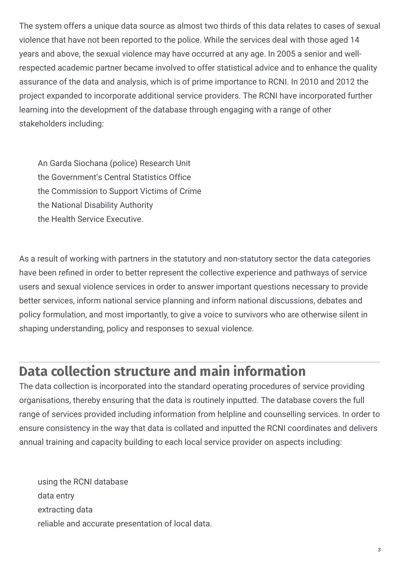The system offers a unique data source as almost two thirds of this data relates to cases of sexual violence that have not been reported to the police. While the services deal with those aged 14 years and above, the sexual violence may have occurred at any age. In 2005 a senior and wellrespected academic partner became involved to offer statistical advice and to enhance the quality assurance of the data and analysis, which is of prime importance to RCNI. In 2010 and 2012 the project expanded to incorporate additional service providers. The RCNI have incorporated further learning into the development of the database through engaging with a range of other stakeholders including:

An Garda Siochana (police) Research Unit the Government's Central Statistics Office the Commission to Support Victims of Crime the National Disability Authority the Health Service Executive.

As a result of working with partners in the statutory and non-statutory sector the data categories have been refined in order to better represent the collective experience and pathways of service users and sexual violence services in order to answer important questions necessary to provide better services, inform national service planning and inform national discussions, debates and policy formulation, and most importantly, to give a voice to survivors who are otherwise silent in shaping understanding, policy and responses to sexual violence.

# **Data collection structure and main information**

The data collection is incorporated into the standard operating procedures of service providing organisations, thereby ensuring that the data is routinely inputted. The database covers the full range of services provided including information from helpline and counselling services. In order to ensure consistency in the way that data is collated and inputted the RCNI coordinates and delivers annual training and capacity building to each local service provider on aspects including:

using the RCNI database data entry extracting data reliable and accurate presentation of local data.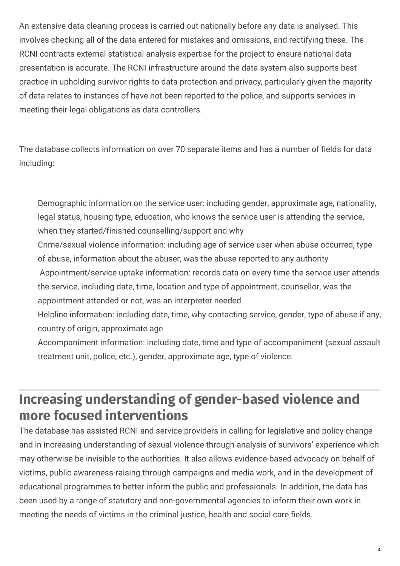An extensive data cleaning process is carried out nationally before any data is analysed. This involves checking all of the data entered for mistakes and omissions, and rectifying these. The RCNI contracts external statistical analysis expertise for the project to ensure national data presentation is accurate. The RCNI infrastructure around the data system also supports best practice in upholding survivor rights to data protection and privacy, particularly given the majority of data relates to instances of have not been reported to the police, and supports services in meeting their legal obligations as data controllers.

The database collects information on over 70 separate items and has a number of fields for data including:

Demographic information on the service user: including gender, approximate age, nationality, legal status, housing type, education, who knows the service user is attending the service, when they started/finished counselling/support and why Crime/sexual violence information: including age of service user when abuse occurred, type of abuse, information about the abuser, was the abuse reported to any authority Appointment/service uptake information: records data on every time the service user attends the service, including date, time, location and type of appointment, counsellor, was the appointment attended or not, was an interpreter needed Helpline information: including date, time, why contacting service, gender, type of abuse if any, country of origin, approximate age

Accompaniment information: including date, time and type of accompaniment (sexual assault treatment unit, police, etc.), gender, approximate age, type of violence.

# **Increasing understanding of gender-based violence and more focused interventions**

The database has assisted RCNI and service providers in calling for legislative and policy change and in increasing understanding of sexual violence through analysis of survivors' experience which may otherwise be invisible to the authorities. It also allows evidence-based advocacy on behalf of victims, public awareness-raising through campaigns and media work, and in the development of educational programmes to better inform the public and professionals. In addition, the data has been used by a range of statutory and non-governmental agencies to inform their own work in meeting the needs of victims in the criminal justice, health and social care fields.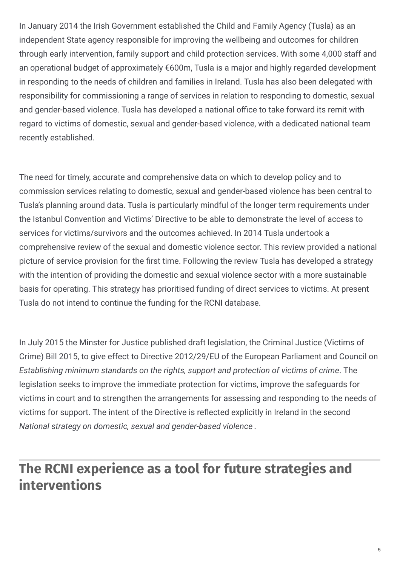In January 2014 the Irish Government established the Child and Family Agency (Tusla) as an independent State agency responsible for improving the wellbeing and outcomes for children through early intervention, family support and child protection services. With some 4,000 staff and an operational budget of approximately €600m, Tusla is a major and highly regarded development in responding to the needs of children and families in Ireland. Tusla has also been delegated with responsibility for commissioning a range of services in relation to responding to domestic, sexual and gender-based violence. Tusla has developed a national office to take forward its remit with regard to victims of domestic, sexual and gender-based violence, with a dedicated national team recently established.

The need for timely, accurate and comprehensive data on which to develop policy and to commission services relating to domestic, sexual and gender-based violence has been central to Tusla's planning around data. Tusla is particularly mindful of the longer term requirements under the Istanbul Convention and Victims' Directive to be able to demonstrate the level of access to services for victims/survivors and the outcomes achieved. In 2014 Tusla undertook a comprehensive review of the sexual and domestic violence sector. This review provided a national picture of service provision for the first time. Following the review Tusla has developed a strategy with the intention of providing the domestic and sexual violence sector with a more sustainable basis for operating. This strategy has prioritised funding of direct services to victims. At present Tusla do not intend to continue the funding for the RCNI database.

In July 2015 the Minster for Justice published draft legislation, the Criminal Justice (Victims of Crime) Bill 2015, to give effect to Directive 2012/29/EU of the European Parliament and Council on *Establishing minimum standards on the rights, support and protection of victims of crime*. The legislation seeks to improve the immediate protection for victims, improve the safeguards for victims in court and to strengthen the arrangements for assessing and responding to the needs of victims for support. The intent of the Directive is reflected explicitly in Ireland in the second *National strategy on domestic, sexual and gender-based violence* .

# **The RCNI experience as a tool for future strategies and interventions**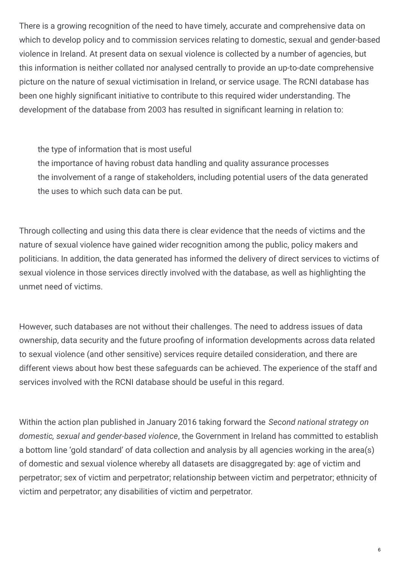There is a growing recognition of the need to have timely, accurate and comprehensive data on which to develop policy and to commission services relating to domestic, sexual and gender-based violence in Ireland. At present data on sexual violence is collected by a number of agencies, but this information is neither collated nor analysed centrally to provide an up-to-date comprehensive picture on the nature of sexual victimisation in Ireland, or service usage. The RCNI database has been one highly significant initiative to contribute to this required wider understanding. The development of the database from 2003 has resulted in significant learning in relation to:

the type of information that is most useful

the importance of having robust data handling and quality assurance processes the involvement of a range of stakeholders, including potential users of the data generated the uses to which such data can be put.

Through collecting and using this data there is clear evidence that the needs of victims and the nature of sexual violence have gained wider recognition among the public, policy makers and politicians. In addition, the data generated has informed the delivery of direct services to victims of sexual violence in those services directly involved with the database, as well as highlighting the unmet need of victims.

However, such databases are not without their challenges. The need to address issues of data ownership, data security and the future proofing of information developments across data related to sexual violence (and other sensitive) services require detailed consideration, and there are different views about how best these safeguards can be achieved. The experience of the staff and services involved with the RCNI database should be useful in this regard.

Within the action plan published in January 2016 taking forward the *Second national strategy on domestic, sexual and gender-based violence*, the Government in Ireland has committed to establish a bottom line 'gold standard' of data collection and analysis by all agencies working in the area(s) of domestic and sexual violence whereby all datasets are disaggregated by: age of victim and perpetrator; sex of victim and perpetrator; relationship between victim and perpetrator; ethnicity of victim and perpetrator; any disabilities of victim and perpetrator.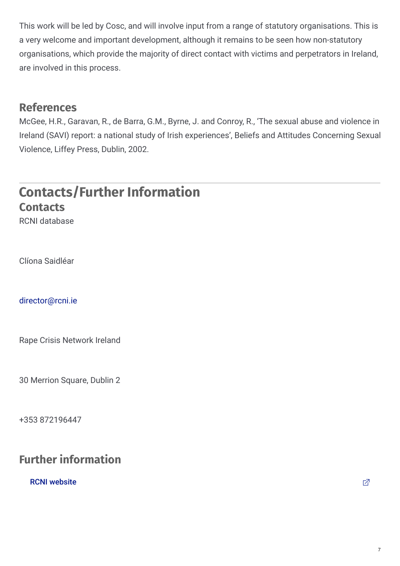This work will be led by Cosc, and will involve input from a range of statutory organisations. This is a very welcome and important development, although it remains to be seen how non-statutory organisations, which provide the majority of direct contact with victims and perpetrators in Ireland, are involved in this process.

#### **References**

McGee, H.R., Garavan, R., de Barra, G.M., Byrne, J. and Conroy, R., 'The sexual abuse and violence in Ireland (SAVI) report: a national study of Irish experiences', Beliefs and Attitudes Concerning Sexual Violence, Liffey Press, Dublin, 2002.

## **Contacts/Further Information Contacts**

RCNI database

Clíona Saidléar

[director@rcni.ie](mailto:director@rcni.ie)

Rape Crisis Network Ireland

30 Merrion Square, Dublin 2

+353 872196447

### **Further information**

RCNI [website](http://www.rcni.ie/publications/research-and-reports/)  $\Box$